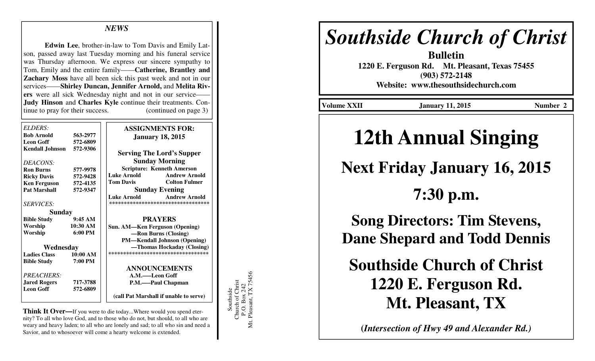### *NEWS*

**Edwin Lee**, brother-in-law to Tom Davis and Emily Latson, passed away last Tuesday morning and his funeral service was Thursday afternoon. We express our sincere sympathy to Tom, Emily and the entire family——**Catherine, Brantley and Zachary Moss** have all been sick this past week and not in our services——**Shirley Duncan, Jennifer Arnold,** and **Melita Rivers** were all sick Wednesday night and not in our service—— **Judy Hinson** and **Charles Kyle** continue their treatments. Continue to pray for their success. (continued on page 3)

| ELDERS:                |                   | <b>ASSIGNMENTS FOR:</b>                    |
|------------------------|-------------------|--------------------------------------------|
| <b>Bob Arnold</b>      | 563-2977          | <b>January 18, 2015</b>                    |
| <b>Leon Goff</b>       | 572-6809          |                                            |
| <b>Kendall Johnson</b> | 572-9306          | <b>Serving The Lord's Supper</b>           |
| DEACONS:               |                   | <b>Sunday Morning</b>                      |
| <b>Ron Burns</b>       | 577-9978          | <b>Scripture: Kenneth Amerson</b>          |
| <b>Ricky Davis</b>     | 572-9428          | Luke Arnold<br><b>Andrew Arnold</b>        |
| <b>Ken Ferguson</b>    | 572-4135          | <b>Tom Davis</b><br><b>Colton Fulmer</b>   |
| <b>Pat Marshall</b>    | 572-9347          | <b>Sunday Evening</b>                      |
|                        |                   | <b>Andrew Arnold</b><br><b>Luke Arnold</b> |
| <b>SERVICES:</b>       |                   | **********************************         |
| Sunday                 |                   |                                            |
| <b>Bible Study</b>     | 9:45AM            | <b>PRAYERS</b>                             |
| Worship                | 10:30 AM          | Sun. AM—Ken Ferguson (Opening)             |
| Worship                | $6:00 \text{ PM}$ | -Ron Burns (Closing)                       |
|                        |                   | <b>PM—Kendall Johnson (Opening)</b>        |
| Wednesday              |                   | —Thomas Hockaday (Closing)                 |
| <b>Ladies Class</b>    | 10:00 AM          | ***********************************        |
| <b>Bible Study</b>     | 7:00 PM           |                                            |
|                        |                   | <b>ANNOUNCEMENTS</b>                       |
| <i>PREACHERS:</i>      |                   | A.M.——Leon Goff                            |
| <b>Jared Rogers</b>    | 717-3788          | P.M.——Paul Chapman                         |
| <b>Leon Goff</b>       | 572-6809          |                                            |
|                        |                   | (call Pat Marshall if unable to serve)     |

**Think It Over—**If you were to die today...Where would you spend eternity? To all who love God, and to those who do not, but should, to all who are weary and heavy laden; to all who are lonely and sad; to all who sin and need a Savior, and to whosoever will come a hearty welcome is extended.

Southside<br>Church of Christ<br>P.O. Box 242<br>Mt. Pleasant, TX 75456 Mt. Pleasant, TX 75456 Church of Christ P.O. Box 242 Southside

# *Southside Church of Christ*

**Bulletin 1220 E. Ferguson Rd. Mt. Pleasant, Texas 75455 (903) 572-2148 Website: www.thesouthsidechurch.com** 

Volume XXII **January 11, 2015** Number 2

# **12th Annual Singing**

## **Next Friday January 16, 2015**

**7:30 p.m.** 

**Song Directors: Tim Stevens, Dane Shepard and Todd Dennis** 

**Southside Church of Christ 1220 E. Ferguson Rd. Mt. Pleasant, TX** 

**(***Intersection of Hwy 49 and Alexander Rd.)*